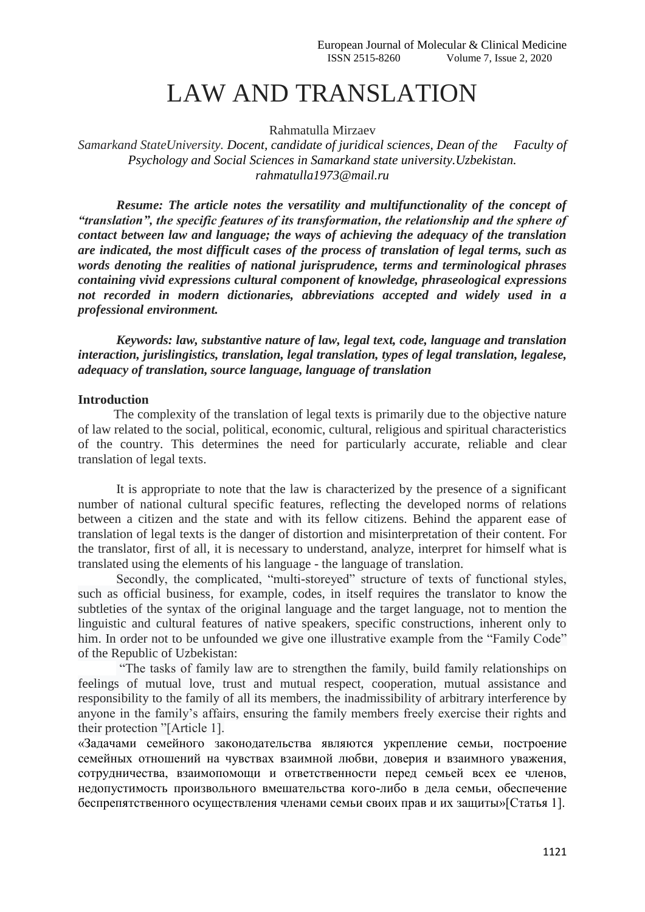## LAW AND TRANSLATION

Rahmatulla Mirzaev

*Samarkand StateUniversity. Docent, candidate of juridical sciences, Dean of the Faculty of Psychology and Social Sciences in Samarkand state university.Uzbekistan. rahmatulla1973@mail.ru*

*Resume: The article notes the versatility and multifunctionality of the concept of "translation", the specific features of its transformation, the relationship and the sphere of contact between law and language; the ways of achieving the adequacy of the translation are indicated, the most difficult cases of the process of translation of legal terms, such as words denoting the realities of national jurisprudence, terms and terminological phrases containing vivid expressions cultural component of knowledge, phraseological expressions not recorded in modern dictionaries, abbreviations accepted and widely used in a professional environment.*

*Keywords: law, substantive nature of law, legal text, code, language and translation interaction, jurislingistics, translation, legal translation, types of legal translation, legalese, adequacy of translation, source language, language of translation*

## **Introduction**

 The complexity of the translation of legal texts is primarily due to the objective nature of law related to the social, political, economic, cultural, religious and spiritual characteristics of the country. This determines the need for particularly accurate, reliable and clear translation of legal texts.

It is appropriate to note that the law is characterized by the presence of a significant number of national cultural specific features, reflecting the developed norms of relations between a citizen and the state and with its fellow citizens. Behind the apparent ease of translation of legal texts is the danger of distortion and misinterpretation of their content. For the translator, first of all, it is necessary to understand, analyze, interpret for himself what is translated using the elements of his language - the language of translation.

Secondly, the complicated, "multi-storeyed" structure of texts of functional styles, such as official business, for example, codes, in itself requires the translator to know the subtleties of the syntax of the original language and the target language, not to mention the linguistic and cultural features of native speakers, specific constructions, inherent only to him. In order not to be unfounded we give one illustrative example from the "Family Code" of the Republic of Uzbekistan:

"The tasks of family law are to strengthen the family, build family relationships on feelings of mutual love, trust and mutual respect, cooperation, mutual assistance and responsibility to the family of all its members, the inadmissibility of arbitrary interference by anyone in the family's affairs, ensuring the family members freely exercise their rights and their protection "[Article 1].

«Задачами семейного законодательства являются укрепление семьи, построение семейных отношений на чувствах взаимной любви, доверия и взаимного уважения, сотрудничества, взаимопомощи и ответственности перед семьей всех ее членов, недопустимость произвольного вмешательства кого-либо в дела семьи, обеспечение беспрепятственного осуществления членами семьи своих прав и их защиты»[Статья 1].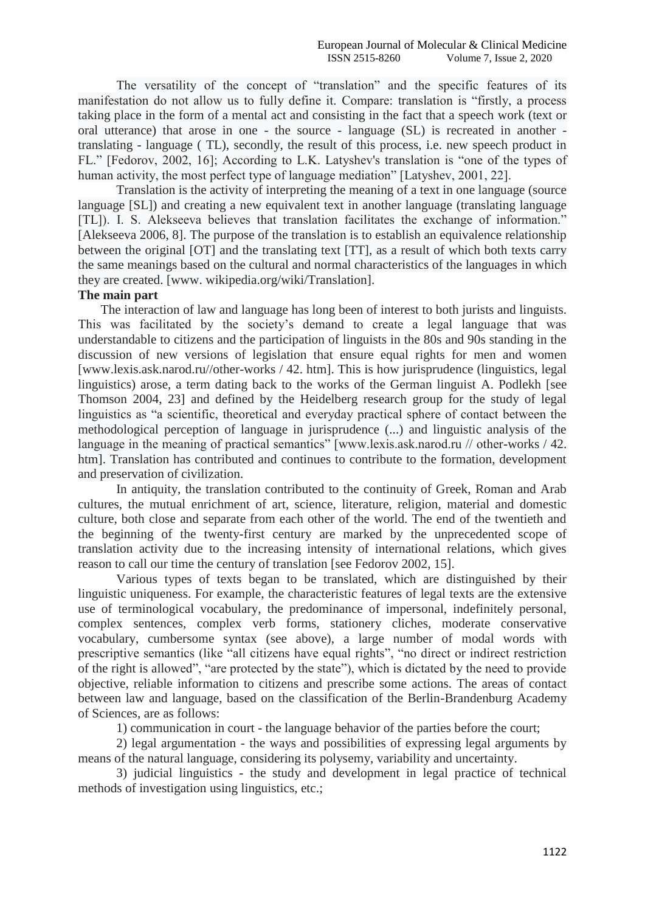The versatility of the concept of "translation" and the specific features of its manifestation do not allow us to fully define it. Compare: translation is "firstly, a process taking place in the form of a mental act and consisting in the fact that a speech work (text or oral utterance) that arose in one - the source - language (SL) is recreated in another translating - language ( TL), secondly, the result of this process, i.e. new speech product in FL." [Fedorov, 2002, 16]; According to L.K. Latyshev's translation is "one of the types of human activity, the most perfect type of language mediation" [Latyshev, 2001, 22].

Translation is the activity of interpreting the meaning of a text in one language (source language [SL]) and creating a new equivalent text in another language (translating language [TL]). I. S. Alekseeva believes that translation facilitates the exchange of information." [Alekseeva 2006, 8]. The purpose of the translation is to establish an equivalence relationship between the original [OT] and the translating text [TT], as a result of which both texts carry the same meanings based on the cultural and normal characteristics of the languages in which they are created. [www. wikipedia.org/wiki/Translation].

## **The main part**

 The interaction of law and language has long been of interest to both jurists and linguists. This was facilitated by the society's demand to create a legal language that was understandable to citizens and the participation of linguists in the 80s and 90s standing in the discussion of new versions of legislation that ensure equal rights for men and women [www.lexis.ask.narod.ru//other-works / 42. htm]. This is how jurisprudence (linguistics, legal linguistics) arose, a term dating back to the works of the German linguist A. Podlekh [see Thomson 2004, 23] and defined by the Heidelberg research group for the study of legal linguistics as "a scientific, theoretical and everyday practical sphere of contact between the methodological perception of language in jurisprudence (...) and linguistic analysis of the language in the meaning of practical semantics" [www.lexis.ask.narod.ru // other-works / 42. htm]. Translation has contributed and continues to contribute to the formation, development and preservation of civilization.

In antiquity, the translation contributed to the continuity of Greek, Roman and Arab cultures, the mutual enrichment of art, science, literature, religion, material and domestic culture, both close and separate from each other of the world. The end of the twentieth and the beginning of the twenty-first century are marked by the unprecedented scope of translation activity due to the increasing intensity of international relations, which gives reason to call our time the century of translation [see Fedorov 2002, 15].

Various types of texts began to be translated, which are distinguished by their linguistic uniqueness. For example, the characteristic features of legal texts are the extensive use of terminological vocabulary, the predominance of impersonal, indefinitely personal, complex sentences, complex verb forms, stationery cliches, moderate conservative vocabulary, cumbersome syntax (see above), a large number of modal words with prescriptive semantics (like "all citizens have equal rights", "no direct or indirect restriction of the right is allowed", "are protected by the state"), which is dictated by the need to provide objective, reliable information to citizens and prescribe some actions. The areas of contact between law and language, based on the classification of the Berlin-Brandenburg Academy of Sciences, are as follows:

1) communication in court - the language behavior of the parties before the court;

2) legal argumentation - the ways and possibilities of expressing legal arguments by means of the natural language, considering its polysemy, variability and uncertainty.

3) judicial linguistics - the study and development in legal practice of technical methods of investigation using linguistics, etc.;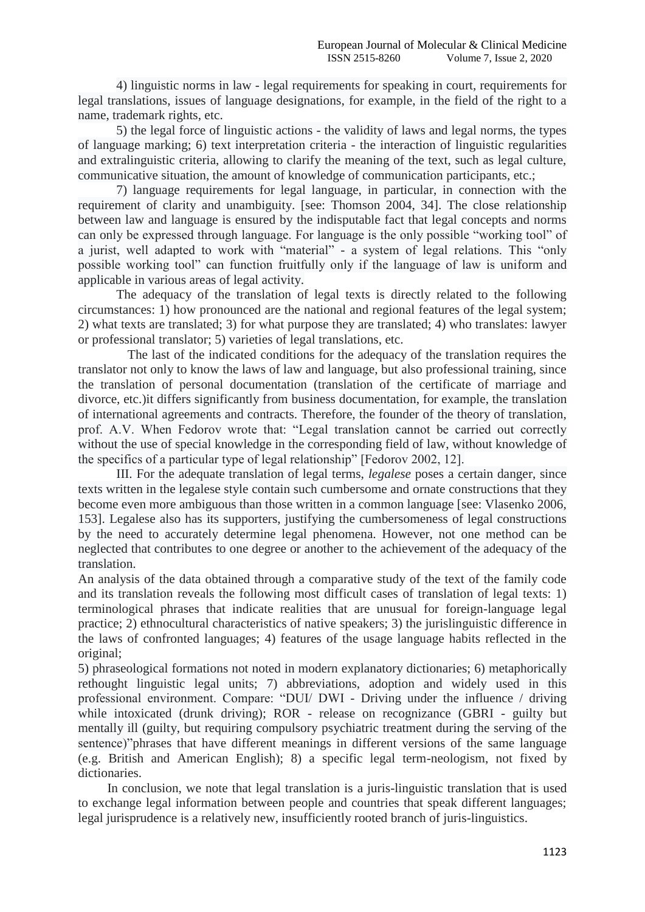4) linguistic norms in law - legal requirements for speaking in court, requirements for legal translations, issues of language designations, for example, in the field of the right to a name, trademark rights, etc.

5) the legal force of linguistic actions - the validity of laws and legal norms, the types of language marking; 6) text interpretation criteria - the interaction of linguistic regularities and extralinguistic criteria, allowing to clarify the meaning of the text, such as legal culture, communicative situation, the amount of knowledge of communication participants, etc.;

7) language requirements for legal language, in particular, in connection with the requirement of clarity and unambiguity. [see: Thomson 2004, 34]. The close relationship between law and language is ensured by the indisputable fact that legal concepts and norms can only be expressed through language. For language is the only possible "working tool" of a jurist, well adapted to work with "material" - a system of legal relations. This "only possible working tool" can function fruitfully only if the language of law is uniform and applicable in various areas of legal activity.

The adequacy of the translation of legal texts is directly related to the following circumstances: 1) how pronounced are the national and regional features of the legal system; 2) what texts are translated; 3) for what purpose they are translated; 4) who translates: lawyer or professional translator; 5) varieties of legal translations, etc.

The last of the indicated conditions for the adequacy of the translation requires the translator not only to know the laws of law and language, but also professional training, since the translation of personal documentation (translation of the certificate of marriage and divorce, etc.)it differs significantly from business documentation, for example, the translation of international agreements and contracts. Therefore, the founder of the theory of translation, prof. A.V. When Fedorov wrote that: "Legal translation cannot be carried out correctly without the use of special knowledge in the corresponding field of law, without knowledge of the specifics of a particular type of legal relationship" [Fedorov 2002, 12].

III. For the adequate translation of legal terms, *legalese* poses a certain danger, since texts written in the legalese style contain such cumbersome and ornate constructions that they become even more ambiguous than those written in a common language [see: Vlasenko 2006, 153]. Legalese also has its supporters, justifying the cumbersomeness of legal constructions by the need to accurately determine legal phenomena. However, not one method can be neglected that contributes to one degree or another to the achievement of the adequacy of the translation.

An analysis of the data obtained through a comparative study of the text of the family code and its translation reveals the following most difficult cases of translation of legal texts: 1) terminological phrases that indicate realities that are unusual for foreign-language legal practice; 2) ethnocultural characteristics of native speakers; 3) the jurislinguistic difference in the laws of confronted languages; 4) features of the usage language habits reflected in the original;

5) phraseological formations not noted in modern explanatory dictionaries; 6) metaphorically rethought linguistic legal units; 7) abbreviations, adoption and widely used in this professional environment. Compare: "DUI/ DWI - Driving under the influence / driving while intoxicated (drunk driving); ROR - release on recognizance (GBRI - guilty but mentally ill (guilty, but requiring compulsory psychiatric treatment during the serving of the sentence)"phrases that have different meanings in different versions of the same language (e.g. British and American English); 8) a specific legal term-neologism, not fixed by dictionaries.

 In conclusion, we note that legal translation is a juris-linguistic translation that is used to exchange legal information between people and countries that speak different languages; legal jurisprudence is a relatively new, insufficiently rooted branch of juris-linguistics.